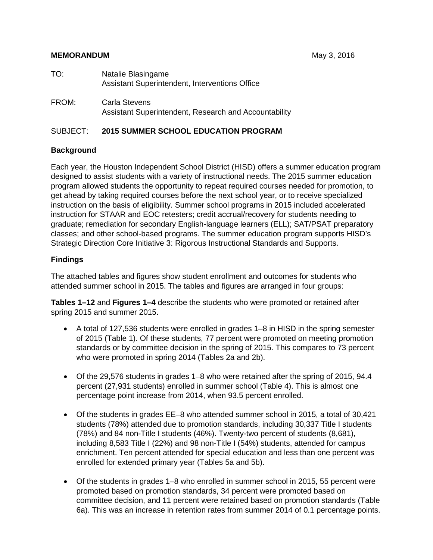## **MEMORANDUM MEMORANDUM MEMORANDUM**

| TO:   | Natalie Blasingame<br>Assistant Superintendent, Interventions Office   |
|-------|------------------------------------------------------------------------|
| FROM: | Carla Stevens<br>Assistant Superintendent, Research and Accountability |

## SUBJECT: **2015 SUMMER SCHOOL EDUCATION PROGRAM**

## **Background**

Each year, the Houston Independent School District (HISD) offers a summer education program designed to assist students with a variety of instructional needs. The 2015 summer education program allowed students the opportunity to repeat required courses needed for promotion, to get ahead by taking required courses before the next school year, or to receive specialized instruction on the basis of eligibility. Summer school programs in 2015 included accelerated instruction for STAAR and EOC retesters; credit accrual/recovery for students needing to graduate; remediation for secondary English-language learners (ELL); SAT/PSAT preparatory classes; and other school-based programs. The summer education program supports HISD's Strategic Direction Core Initiative 3: Rigorous Instructional Standards and Supports.

## **Findings**

The attached tables and figures show student enrollment and outcomes for students who attended summer school in 2015. The tables and figures are arranged in four groups:

**Tables 1–12** and **Figures 1–4** describe the students who were promoted or retained after spring 2015 and summer 2015.

- A total of 127,536 students were enrolled in grades 1–8 in HISD in the spring semester of 2015 (Table 1). Of these students, 77 percent were promoted on meeting promotion standards or by committee decision in the spring of 2015. This compares to 73 percent who were promoted in spring 2014 (Tables 2a and 2b).
- Of the 29,576 students in grades 1–8 who were retained after the spring of 2015, 94.4 percent (27,931 students) enrolled in summer school (Table 4). This is almost one percentage point increase from 2014, when 93.5 percent enrolled.
- Of the students in grades EE–8 who attended summer school in 2015, a total of 30,421 students (78%) attended due to promotion standards, including 30,337 Title I students (78%) and 84 non-Title I students (46%). Twenty-two percent of students (8,681), including 8,583 Title I (22%) and 98 non-Title I (54%) students, attended for campus enrichment. Ten percent attended for special education and less than one percent was enrolled for extended primary year (Tables 5a and 5b).
- Of the students in grades 1–8 who enrolled in summer school in 2015, 55 percent were promoted based on promotion standards, 34 percent were promoted based on committee decision, and 11 percent were retained based on promotion standards (Table 6a). This was an increase in retention rates from summer 2014 of 0.1 percentage points.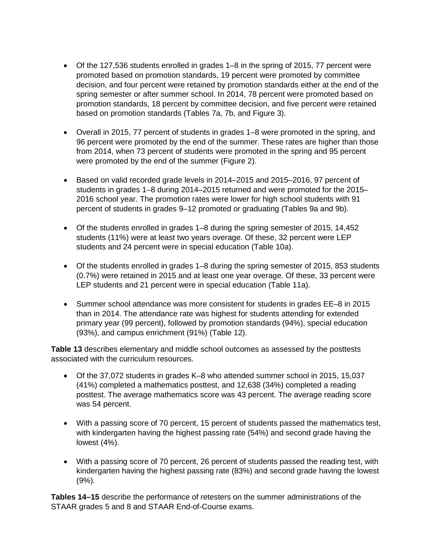- Of the 127,536 students enrolled in grades 1–8 in the spring of 2015, 77 percent were promoted based on promotion standards, 19 percent were promoted by committee decision, and four percent were retained by promotion standards either at the end of the spring semester or after summer school. In 2014, 78 percent were promoted based on promotion standards, 18 percent by committee decision, and five percent were retained based on promotion standards (Tables 7a, 7b, and Figure 3).
- Overall in 2015, 77 percent of students in grades 1–8 were promoted in the spring, and 96 percent were promoted by the end of the summer. These rates are higher than those from 2014, when 73 percent of students were promoted in the spring and 95 percent were promoted by the end of the summer (Figure 2).
- Based on valid recorded grade levels in 2014–2015 and 2015–2016, 97 percent of students in grades 1–8 during 2014–2015 returned and were promoted for the 2015– 2016 school year. The promotion rates were lower for high school students with 91 percent of students in grades 9–12 promoted or graduating (Tables 9a and 9b).
- Of the students enrolled in grades 1–8 during the spring semester of 2015, 14,452 students (11%) were at least two years overage. Of these, 32 percent were LEP students and 24 percent were in special education (Table 10a).
- Of the students enrolled in grades 1–8 during the spring semester of 2015, 853 students (0.7%) were retained in 2015 and at least one year overage. Of these, 33 percent were LEP students and 21 percent were in special education (Table 11a).
- Summer school attendance was more consistent for students in grades EE–8 in 2015 than in 2014. The attendance rate was highest for students attending for extended primary year (99 percent), followed by promotion standards (94%), special education (93%), and campus enrichment (91%) (Table 12).

**Table 13** describes elementary and middle school outcomes as assessed by the posttests associated with the curriculum resources.

- Of the 37,072 students in grades K–8 who attended summer school in 2015, 15,037 (41%) completed a mathematics posttest, and 12,638 (34%) completed a reading posttest. The average mathematics score was 43 percent. The average reading score was 54 percent.
- With a passing score of 70 percent, 15 percent of students passed the mathematics test, with kindergarten having the highest passing rate (54%) and second grade having the lowest (4%).
- With a passing score of 70 percent, 26 percent of students passed the reading test, with kindergarten having the highest passing rate (83%) and second grade having the lowest (9%).

**Tables 14–15** describe the performance of retesters on the summer administrations of the STAAR grades 5 and 8 and STAAR End-of-Course exams.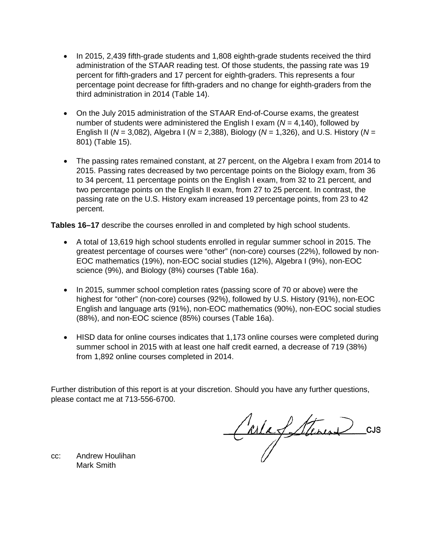- In 2015, 2,439 fifth-grade students and 1,808 eighth-grade students received the third administration of the STAAR reading test. Of those students, the passing rate was 19 percent for fifth-graders and 17 percent for eighth-graders. This represents a four percentage point decrease for fifth-graders and no change for eighth-graders from the third administration in 2014 (Table 14).
- On the July 2015 administration of the STAAR End-of-Course exams, the greatest number of students were administered the English I exam (*N* = 4,140), followed by English II (*N* = 3,082), Algebra I (*N* = 2,388), Biology (*N* = 1,326), and U.S. History (*N* = 801) (Table 15).
- The passing rates remained constant, at 27 percent, on the Algebra I exam from 2014 to 2015. Passing rates decreased by two percentage points on the Biology exam, from 36 to 34 percent, 11 percentage points on the English I exam, from 32 to 21 percent, and two percentage points on the English II exam, from 27 to 25 percent. In contrast, the passing rate on the U.S. History exam increased 19 percentage points, from 23 to 42 percent.

**Tables 16–17** describe the courses enrolled in and completed by high school students.

- A total of 13,619 high school students enrolled in regular summer school in 2015. The greatest percentage of courses were "other" (non-core) courses (22%), followed by non-EOC mathematics (19%), non-EOC social studies (12%), Algebra I (9%), non-EOC science (9%), and Biology (8%) courses (Table 16a).
- In 2015, summer school completion rates (passing score of 70 or above) were the highest for "other" (non-core) courses (92%), followed by U.S. History (91%), non-EOC English and language arts (91%), non-EOC mathematics (90%), non-EOC social studies (88%), and non-EOC science (85%) courses (Table 16a).
- HISD data for online courses indicates that 1,173 online courses were completed during summer school in 2015 with at least one half credit earned, a decrease of 719 (38%) from 1,892 online courses completed in 2014.

Further distribution of this report is at your discretion. Should you have any further questions, please contact me at 713-556-6700.

CarlaSterine CUS

cc: Andrew Houlihan Mark Smith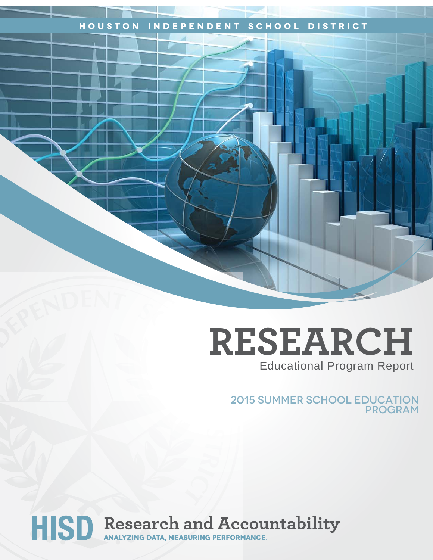# **Houston Independent School District**

# **RESEARCH** Educational Program Report

2015 Summer school Education program

HISD Research and Accountability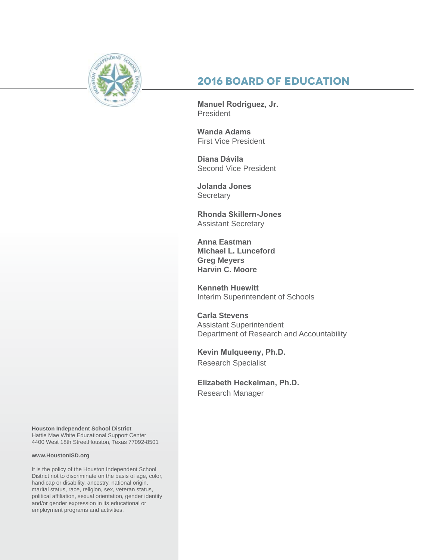

# **2016 Board of Education**

**Manuel Rodriguez, Jr.**  President

**Wanda Adams**  First Vice President

**Diana Dávila** Second Vice President

**Jolanda Jones Secretary** 

**Rhonda Skillern-Jones**  Assistant Secretary

**Anna Eastman Michael L. Lunceford Greg Meyers Harvin C. Moore**

**Kenneth Huewitt** Interim Superintendent of Schools

**Carla Stevens** Assistant Superintendent Department of Research and Accountability

**Kevin Mulqueeny, Ph.D.** Research Specialist

**Elizabeth Heckelman, Ph.D.** Research Manager

**Houston Independent School District** Hattie Mae White Educational Support Center 4400 West 18th StreetHouston, Texas 77092-8501

#### **www.HoustonISD.org**

It is the policy of the Houston Independent School District not to discriminate on the basis of age, color, handicap or disability, ancestry, national origin, marital status, race, religion, sex, veteran status, political affiliation, sexual orientation, gender identity and/or gender expression in its educational or employment programs and activities.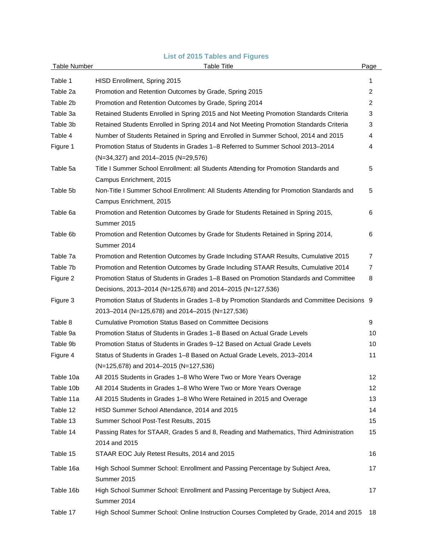# **List of 2015 Tables and Figures**

| <b>Table Number</b> | <b>Table Title</b>                                                                           | Page            |
|---------------------|----------------------------------------------------------------------------------------------|-----------------|
| Table 1             | HISD Enrollment, Spring 2015                                                                 | 1               |
| Table 2a            | Promotion and Retention Outcomes by Grade, Spring 2015                                       | $\overline{2}$  |
| Table 2b            | Promotion and Retention Outcomes by Grade, Spring 2014                                       | 2               |
| Table 3a            | Retained Students Enrolled in Spring 2015 and Not Meeting Promotion Standards Criteria       | 3               |
| Table 3b            | Retained Students Enrolled in Spring 2014 and Not Meeting Promotion Standards Criteria       | 3               |
| Table 4             | Number of Students Retained in Spring and Enrolled in Summer School, 2014 and 2015           | 4               |
| Figure 1            | Promotion Status of Students in Grades 1-8 Referred to Summer School 2013-2014               | 4               |
|                     | (N=34,327) and 2014-2015 (N=29,576)                                                          |                 |
| Table 5a            | Title I Summer School Enrollment: all Students Attending for Promotion Standards and         | 5               |
|                     | Campus Enrichment, 2015                                                                      |                 |
| Table 5b            | Non-Title I Summer School Enrollment: All Students Attending for Promotion Standards and     | 5               |
|                     | Campus Enrichment, 2015                                                                      |                 |
| Table 6a            | Promotion and Retention Outcomes by Grade for Students Retained in Spring 2015,              | 6               |
|                     | Summer 2015                                                                                  |                 |
| Table 6b            | Promotion and Retention Outcomes by Grade for Students Retained in Spring 2014,              | 6               |
|                     | Summer 2014                                                                                  |                 |
| Table 7a            | Promotion and Retention Outcomes by Grade Including STAAR Results, Cumulative 2015           | 7               |
| Table 7b            | Promotion and Retention Outcomes by Grade Including STAAR Results, Cumulative 2014           | 7               |
| Figure 2            | Promotion Status of Students in Grades 1–8 Based on Promotion Standards and Committee        | 8               |
|                     | Decisions, 2013-2014 (N=125,678) and 2014-2015 (N=127,536)                                   |                 |
| Figure 3            | Promotion Status of Students in Grades 1-8 by Promotion Standards and Committee Decisions 9  |                 |
|                     | 2013-2014 (N=125,678) and 2014-2015 (N=127,536)                                              |                 |
| Table 8             | <b>Cumulative Promotion Status Based on Committee Decisions</b>                              | 9               |
| Table 9a            | Promotion Status of Students in Grades 1-8 Based on Actual Grade Levels                      | 10              |
| Table 9b            | Promotion Status of Students in Grades 9-12 Based on Actual Grade Levels                     | 10              |
| Figure 4            | Status of Students in Grades 1-8 Based on Actual Grade Levels, 2013-2014                     | 11              |
|                     | $(N=125,678)$ and 2014–2015 (N=127,536)                                                      |                 |
| Table 10a           | All 2015 Students in Grades 1-8 Who Were Two or More Years Overage                           | 12 <sup>°</sup> |
| Table 10b           | All 2014 Students in Grades 1-8 Who Were Two or More Years Overage                           | 12 <sup>2</sup> |
| Table 11a           | All 2015 Students in Grades 1–8 Who Were Retained in 2015 and Overage                        | 13              |
| Table 12            | HISD Summer School Attendance, 2014 and 2015                                                 | 14              |
| Table 13            | Summer School Post-Test Results, 2015                                                        | 15              |
| Table 14            | Passing Rates for STAAR, Grades 5 and 8, Reading and Mathematics, Third Administration       | 15              |
|                     | 2014 and 2015                                                                                |                 |
| Table 15            | STAAR EOC July Retest Results, 2014 and 2015                                                 | 16              |
| Table 16a           | High School Summer School: Enrollment and Passing Percentage by Subject Area,                | 17              |
|                     | Summer 2015                                                                                  |                 |
| Table 16b           | High School Summer School: Enrollment and Passing Percentage by Subject Area,<br>Summer 2014 | 17              |
| Table 17            | High School Summer School: Online Instruction Courses Completed by Grade, 2014 and 2015      | 18              |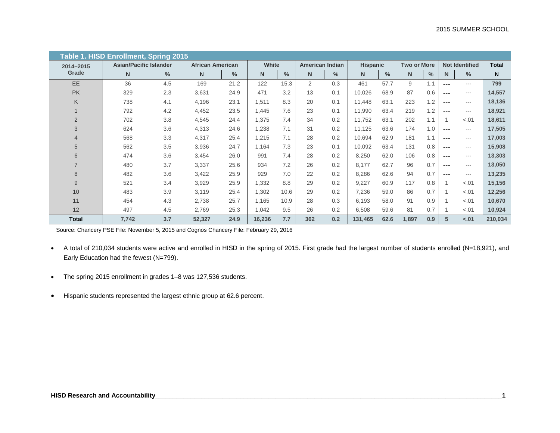|                | Table 1. HISD Enrollment, Spring 2015 |      |                         |               |        |      |                        |               |                 |               |                    |      |         |                       |         |
|----------------|---------------------------------------|------|-------------------------|---------------|--------|------|------------------------|---------------|-----------------|---------------|--------------------|------|---------|-----------------------|---------|
| 2014-2015      | <b>Asian/Pacific Islander</b>         |      | <b>African American</b> |               | White  |      | <b>American Indian</b> |               | <b>Hispanic</b> |               | <b>Two or More</b> |      |         | <b>Not Identified</b> | Total   |
| Grade          | N                                     | $\%$ | N.                      | $\frac{0}{0}$ | N      | $\%$ | N                      | $\frac{0}{0}$ | $\mathbf N$     | $\frac{0}{0}$ | N                  | $\%$ | N.      | $\%$                  | N.      |
| EE             | 36                                    | 4.5  | 169                     | 21.2          | 122    | 15.3 | $\overline{2}$         | 0.3           | 461             | 57.7          | 9                  | 1.1  | ---     | $- - -$               | 799     |
| <b>PK</b>      | 329                                   | 2.3  | 3,631                   | 24.9          | 471    | 3.2  | 13                     | 0.1           | 10,026          | 68.9          | 87                 | 0.6  | ---     | $---$                 | 14,557  |
| K              | 738                                   | 4.1  | 4,196                   | 23.1          | 1,511  | 8.3  | 20                     | 0.1           | 11,448          | 63.1          | 223                | 1.2  | $- - -$ | $---$                 | 18,136  |
| $\mathbf 1$    | 792                                   | 4.2  | 4,452                   | 23.5          | 1,445  | 7.6  | 23                     | 0.1           | 11,990          | 63.4          | 219                | 1.2  | ---     | $---$                 | 18,921  |
| $\overline{2}$ | 702                                   | 3.8  | 4,545                   | 24.4          | 1,375  | 7.4  | 34                     | 0.2           | 11,752          | 63.1          | 202                | 1.1  | 1       | $-.01$                | 18,611  |
| 3              | 624                                   | 3.6  | 4,313                   | 24.6          | 1,238  | 7.1  | 31                     | 0.2           | 11,125          | 63.6          | 174                | 1.0  | $---$   | ---                   | 17,505  |
| $\overline{4}$ | 568                                   | 3.3  | 4,317                   | 25.4          | 1,215  | 7.1  | 28                     | 0.2           | 10,694          | 62.9          | 181                | 1.1  | $---$   | $---$                 | 17,003  |
| 5              | 562                                   | 3.5  | 3,936                   | 24.7          | 1,164  | 7.3  | 23                     | 0.1           | 10,092          | 63.4          | 131                | 0.8  | $---$   | $---$                 | 15,908  |
| 6              | 474                                   | 3.6  | 3,454                   | 26.0          | 991    | 7.4  | 28                     | 0.2           | 8,250           | 62.0          | 106                | 0.8  | ---     | $---$                 | 13,303  |
| $\overline{7}$ | 480                                   | 3.7  | 3,337                   | 25.6          | 934    | 7.2  | 26                     | 0.2           | 8,177           | 62.7          | 96                 | 0.7  | $---$   | ---                   | 13,050  |
| 8              | 482                                   | 3.6  | 3,422                   | 25.9          | 929    | 7.0  | 22                     | 0.2           | 8,286           | 62.6          | 94                 | 0.7  | ---     | ---                   | 13,235  |
| $\overline{9}$ | 521                                   | 3.4  | 3,929                   | 25.9          | 1,332  | 8.8  | 29                     | 0.2           | 9,227           | 60.9          | 117                | 0.8  |         | $-.01$                | 15,156  |
| 10             | 483                                   | 3.9  | 3,119                   | 25.4          | 1,302  | 10.6 | 29                     | 0.2           | 7,236           | 59.0          | 86                 | 0.7  |         | $-.01$                | 12,256  |
| 11             | 454                                   | 4.3  | 2,738                   | 25.7          | 1,165  | 10.9 | 28                     | 0.3           | 6,193           | 58.0          | 91                 | 0.9  |         | $-.01$                | 10,670  |
| 12             | 497                                   | 4.5  | 2,769                   | 25.3          | 1,042  | 9.5  | 26                     | 0.2           | 6,508           | 59.6          | 81                 | 0.7  |         | $-.01$                | 10,924  |
| <b>Total</b>   | 7,742                                 | 3.7  | 52,327                  | 24.9          | 16,236 | 7.7  | 362                    | 0.2           | 131,465         | 62.6          | 1,897              | 0.9  | 5       | $-.01$                | 210,034 |

Source: Chancery PSE File: November 5, 2015 and Cognos Chancery File: February 29, 2016

- A total of 210,034 students were active and enrolled in HISD in the spring of 2015. First grade had the largest number of students enrolled (N=18,921), and Early Education had the fewest (N=799).
- The spring 2015 enrollment in grades 1–8 was 127,536 students.
- Hispanic students represented the largest ethnic group at 62.6 percent.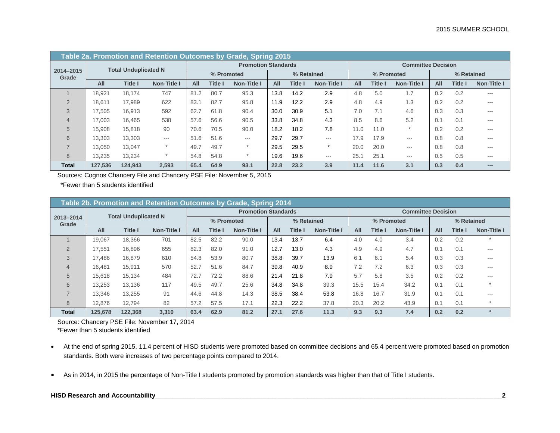|                    |         |                             | Table 2a. Promotion and Retention Outcomes by Grade, Spring 2015 |      |                |                            |      |                |                    |      |            |                           |     |            |             |
|--------------------|---------|-----------------------------|------------------------------------------------------------------|------|----------------|----------------------------|------|----------------|--------------------|------|------------|---------------------------|-----|------------|-------------|
|                    |         | <b>Total Unduplicated N</b> |                                                                  |      |                | <b>Promotion Standards</b> |      |                |                    |      |            | <b>Committee Decision</b> |     |            |             |
| 2014-2015<br>Grade |         |                             |                                                                  |      | % Promoted     |                            |      | % Retained     |                    |      | % Promoted |                           |     | % Retained |             |
|                    | All     | <b>Title I</b>              | <b>Non-Title I</b>                                               | All  | <b>Title I</b> | Non-Title I                | All  | <b>Title I</b> | <b>Non-Title I</b> | All  | Title I    | <b>Non-Title I</b>        | All | Title I    | Non-Title I |
|                    | 18.921  | 18.174                      | 747                                                              | 81.2 | 80.7           | 95.3                       | 13.8 | 14.2           | 2.9                | 4.8  | 5.0        | 1.7                       | 0.2 | 0.2        | $- - -$     |
| $\mathcal{P}$      | 18.611  | 17.989                      | 622                                                              | 83.7 | 82.7           | 95.8                       | 11.9 | 12.2           | 2.9                | 4.8  | 4.9        | 1.3                       | 0.2 | 0.2        | $---$       |
| 3                  | 17.505  | 16,913                      | 592                                                              | 62.7 | 61.8           | 90.4                       | 30.0 | 30.9           | 5.1                | 7.0  | 7.1        | 4.6                       | 0.3 | 0.3        | $- - -$     |
| 4                  | 17.003  | 16,465                      | 538                                                              | 57.6 | 56.6           | 90.5                       | 33.8 | 34.8           | 4.3                | 8.5  | 8.6        | 5.2                       | 0.1 | 0.1        | $---$       |
| 5                  | 15,908  | 15,818                      | 90                                                               | 70.6 | 70.5           | 90.0                       | 18.2 | 18.2           | 7.8                | 11.0 | 11.0       | $\star$                   | 0.2 | 0.2        | $- - -$     |
| 6                  | 13.303  | 13.303                      | ---                                                              | 51.6 | 51.6           | ---                        | 29.7 | 29.7           | $---$              | 17.9 | 17.9       | ---                       | 0.8 | 0.8        | $---$       |
| $\overline{ }$     | 13.050  | 13.047                      | $\star$                                                          | 49.7 | 49.7           | $\star$                    | 29.5 | 29.5           | $\star$            | 20.0 | 20.0       | ---                       | 0.8 | 0.8        | $- - -$     |
| 8                  | 13.235  | 13.234                      | $\star$                                                          | 54.8 | 54.8           | $\ast$                     | 19.6 | 19.6           | $\cdots$           | 25.  | 25.1       | ---                       | 0.5 | 0.5        | $---$       |
| Total              | 127,536 | 124.943                     | 2,593                                                            | 65.4 | 64.9           | 93.1                       | 22.8 | 23.2           | 3.9                | 11.4 | 11.6       | 3.1                       | 0.3 | 0.4        | $---$       |

Sources: Cognos Chancery File and Chancery PSE File: November 5, 2015

\*Fewer than 5 students identified

|                    |         |                             | Table 2b. Promotion and Retention Outcomes by Grade, Spring 2014 |      |                |                            |      |                |             |      |                |                           |            |         |             |
|--------------------|---------|-----------------------------|------------------------------------------------------------------|------|----------------|----------------------------|------|----------------|-------------|------|----------------|---------------------------|------------|---------|-------------|
|                    |         | <b>Total Unduplicated N</b> |                                                                  |      |                | <b>Promotion Standards</b> |      |                |             |      |                | <b>Committee Decision</b> |            |         |             |
| 2013-2014<br>Grade |         |                             |                                                                  |      | % Promoted     |                            |      | % Retained     |             |      | % Promoted     |                           | % Retained |         |             |
|                    | All     | <b>Title I</b>              | <b>Non-Title I</b>                                               | All  | <b>Title I</b> | <b>Non-Title I</b>         | All  | <b>Title I</b> | Non-Title I | All  | <b>Title I</b> | <b>Non-Title I</b>        | All        | Title I | Non-Title I |
|                    | 19.067  | 18,366                      | 701                                                              | 82.5 | 82.2           | 90.0                       | 13.4 | 13.7           | 6.4         | 4.0  | 4.0            | 3.4                       | 0.2        | 0.2     |             |
| 2                  | 17.551  | 16,896                      | 655                                                              | 82.3 | 82.0           | 91.0                       | 12.7 | 13.0           | 4.3         | 4.9  | 4.9            | 4.7                       | 0.1        | 0.1     | $---$       |
| 3                  | 17.486  | 16,879                      | 610                                                              | 54.8 | 53.9           | 80.7                       | 38.8 | 39.7           | 13.9        | 6.1  | 6.1            | 5.4                       | 0.3        | 0.3     | ---         |
| $\overline{4}$     | 16.481  | 15,911                      | 570                                                              | 52.7 | 51.6           | 84.7                       | 39.8 | 40.9           | 8.9         | 7.2  | 7.2            | 6.3                       | 0.3        | 0.3     | $---$       |
| 5                  | 15,618  | 15,134                      | 484                                                              | 72.7 | 72.2           | 88.6                       | 21.4 | 21.8           | 7.9         | 5.7  | 5.8            | 3.5                       | 0.2        | 0.2     | $- - -$     |
| 6                  | 13.253  | 13.136                      | 117                                                              | 49.5 | 49.7           | 25.6                       | 34.8 | 34.8           | 39.3        | 15.5 | 15.4           | 34.2                      | 0.1        | 0.1     | $\star$     |
|                    | 13.346  | 13.255                      | 91                                                               | 44.6 | 44.8           | 14.3                       | 38.5 | 38.4           | 53.8        | 16.8 | 16.7           | 31.9                      | 0.1        | 0.1     | $---$       |
| 8                  | 12.876  | 12.794                      | 82                                                               | 57.2 | 57.5           | 17.1                       | 22.3 | 22.2           | 37.8        | 20.3 | 20.2           | 43.9                      | 0.1        | 0.1     | $\ast$      |
| <b>Total</b>       | 125.678 | 122.368                     | 3,310                                                            | 63.4 | 62.9           | 81.2                       | 27.1 | 27.6           | 11.3        | 9.3  | 9.3            | 7.4                       | 0.2        | 0.2     | $\star$     |

Source: Chancery PSE File: November 17, 2014

\*Fewer than 5 students identified

- At the end of spring 2015, 11.4 percent of HISD students were promoted based on committee decisions and 65.4 percent were promoted based on promotion standards. Both were increases of two percentage points compared to 2014.
- As in 2014, in 2015 the percentage of Non-Title I students promoted by promotion standards was higher than that of Title I students.

# **HISD Research and Accountability\_\_\_\_\_\_\_\_\_\_\_\_\_\_\_\_\_\_\_\_\_\_\_\_\_\_\_\_\_\_\_\_\_\_\_\_\_\_\_\_\_\_\_\_\_\_\_\_\_\_\_\_\_\_\_\_\_\_\_\_\_\_\_\_\_\_\_\_\_\_\_\_\_\_\_\_\_\_\_\_\_\_\_\_\_\_\_\_\_\_\_\_\_\_\_\_\_\_2**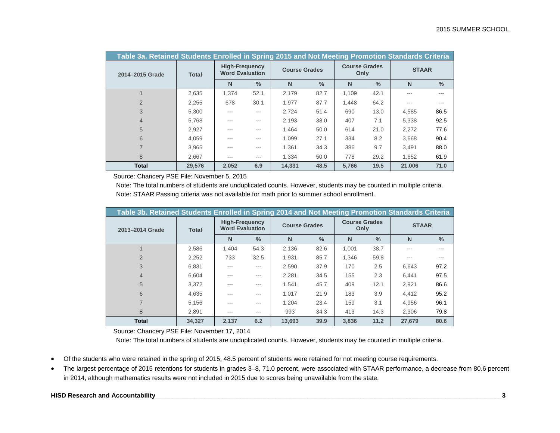| Table 3a. Retained Students Enrolled in Spring 2015 and Not Meeting Promotion Standards Criteria |              |                                                 |               |                      |               |                              |               |              |               |
|--------------------------------------------------------------------------------------------------|--------------|-------------------------------------------------|---------------|----------------------|---------------|------------------------------|---------------|--------------|---------------|
| 2014-2015 Grade                                                                                  | <b>Total</b> | <b>High-Frequency</b><br><b>Word Evaluation</b> |               | <b>Course Grades</b> |               | <b>Course Grades</b><br>Only |               | <b>STAAR</b> |               |
|                                                                                                  |              | N                                               | $\frac{0}{0}$ | N                    | $\frac{0}{2}$ | N                            | $\frac{0}{0}$ | N            | $\frac{0}{2}$ |
|                                                                                                  | 2,635        | 1.374                                           | 52.1          | 2.179                | 82.7          | 1.109                        | 42.1          | ---          |               |
| $\mathfrak{D}$                                                                                   | 2,255        | 678                                             | 30.1          | 1.977                | 87.7          | 1.448                        | 64.2          | ---          |               |
| 3                                                                                                | 5,300        | $- - -$                                         | $- - -$       | 2.724                | 51.4          | 690                          | 13.0          | 4.585        | 86.5          |
| $\overline{4}$                                                                                   | 5,768        | ---                                             | $- - -$       | 2.193                | 38.0          | 407                          | 7.1           | 5.338        | 92.5          |
| 5                                                                                                | 2.927        | $- - -$                                         | $- - -$       | 1.464                | 50.0          | 614                          | 21.0          | 2.272        | 77.6          |
| 6                                                                                                | 4,059        | ---                                             | $- - -$       | 1,099                | 27.1          | 334                          | 8.2           | 3,668        | 90.4          |
|                                                                                                  | 3.965        | ---                                             | $- - -$       | 1.361                | 34.3          | 386                          | 9.7           | 3.491        | 88.0          |
| 8                                                                                                | 2.667        | ---                                             | $- - -$       | 1.334                | 50.0          | 778                          | 29.2          | 1.652        | 61.9          |
| <b>Total</b>                                                                                     | 29.576       | 2.052                                           | 6.9           | 14.331               | 48.5          | 5.766                        | 19.5          | 21.006       | 71.0          |

Source: Chancery PSE File: November 5, 2015

Note: The total numbers of students are unduplicated counts. However, students may be counted in multiple criteria. Note: STAAR Passing criteria was not available for math prior to summer school enrollment.

| Table 3b. Retained Students Enrolled in Spring 2014 and Not Meeting Promotion Standards Criteria |              |                                                 |               |                      |               |                              |               |              |               |
|--------------------------------------------------------------------------------------------------|--------------|-------------------------------------------------|---------------|----------------------|---------------|------------------------------|---------------|--------------|---------------|
| 2013-2014 Grade                                                                                  | <b>Total</b> | <b>High-Frequency</b><br><b>Word Evaluation</b> |               | <b>Course Grades</b> |               | <b>Course Grades</b><br>Only |               | <b>STAAR</b> |               |
|                                                                                                  |              | N                                               | $\frac{0}{0}$ | N                    | $\frac{0}{0}$ | N                            | $\frac{0}{2}$ | N            | $\frac{0}{2}$ |
|                                                                                                  | 2.586        | 1.404                                           | 54.3          | 2.136                | 82.6          | 1.001                        | 38.7          | ---          |               |
| $\overline{2}$                                                                                   | 2,252        | 733                                             | 32.5          | 1.931                | 85.7          | 1.346                        | 59.8          | ---          |               |
| 3                                                                                                | 6.831        | ---                                             | $- - -$       | 2.590                | 37.9          | 170                          | 2.5           | 6,643        | 97.2          |
| 4                                                                                                | 6.604        | ---                                             | $- - -$       | 2.281                | 34.5          | 155                          | 2.3           | 6.441        | 97.5          |
| 5                                                                                                | 3.372        | ---                                             | ---           | 1.541                | 45.7          | 409                          | 12.1          | 2.921        | 86.6          |
| 6                                                                                                | 4,635        | ---                                             | $\frac{1}{2}$ | 1.017                | 21.9          | 183                          | 3.9           | 4.412        | 95.2          |
|                                                                                                  | 5.156        | ---                                             | $- - -$       | 1.204                | 23.4          | 159                          | 3.1           | 4.956        | 96.1          |
| 8                                                                                                | 2.891        | ---                                             | $\frac{1}{2}$ | 993                  | 34.3          | 413                          | 14.3          | 2.306        | 79.8          |
| <b>Total</b>                                                                                     | 34,327       | 2,137                                           | 6.2           | 13,693               | 39.9          | 3,836                        | 11.2          | 27.679       | 80.6          |

Source: Chancery PSE File: November 17, 2014

Note: The total numbers of students are unduplicated counts. However, students may be counted in multiple criteria.

- Of the students who were retained in the spring of 2015, 48.5 percent of students were retained for not meeting course requirements.
- The largest percentage of 2015 retentions for students in grades 3–8, 71.0 percent, were associated with STAAR performance, a decrease from 80.6 percent in 2014, although mathematics results were not included in 2015 due to scores being unavailable from the state.

# **HISD Research and Accountability\_\_\_\_\_\_\_\_\_\_\_\_\_\_\_\_\_\_\_\_\_\_\_\_\_\_\_\_\_\_\_\_\_\_\_\_\_\_\_\_\_\_\_\_\_\_\_\_\_\_\_\_\_\_\_\_\_\_\_\_\_\_\_\_\_\_\_\_\_\_\_\_\_\_\_\_\_\_\_\_\_\_\_\_\_\_\_\_\_\_\_\_\_\_\_\_\_\_3**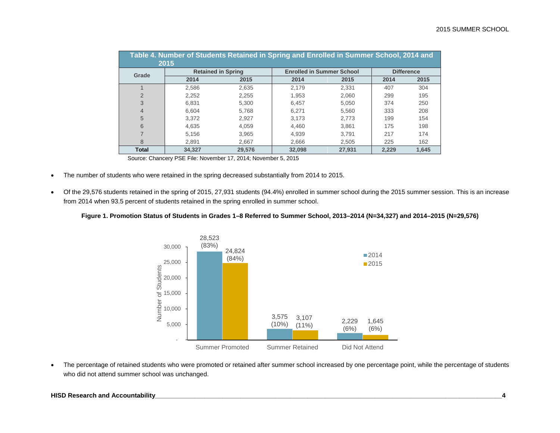|                | Table 4. Number of Students Retained in Spring and Enrolled in Summer School, 2014 and<br>2015 |        |                                  |        |       |                   |
|----------------|------------------------------------------------------------------------------------------------|--------|----------------------------------|--------|-------|-------------------|
| Grade          | <b>Retained in Spring</b>                                                                      |        | <b>Enrolled in Summer School</b> |        |       | <b>Difference</b> |
|                | 2014                                                                                           | 2015   | 2014                             | 2015   | 2014  | 2015              |
|                | 2.586                                                                                          | 2.635  | 2.179                            | 2.331  | 407   | 304               |
| $\overline{2}$ | 2,252                                                                                          | 2.255  | 1.953                            | 2.060  | 299   | 195               |
| 3              | 6.831                                                                                          | 5.300  | 6.457                            | 5.050  | 374   | 250               |
| 4              | 6.604                                                                                          | 5.768  | 6.271                            | 5.560  | 333   | 208               |
| 5              | 3.372                                                                                          | 2.927  | 3.173                            | 2.773  | 199   | 154               |
| 6              | 4.635                                                                                          | 4.059  | 4.460                            | 3.861  | 175   | 198               |
|                | 5.156                                                                                          | 3.965  | 4.939                            | 3.791  | 217   | 174               |
| 8              | 2.891                                                                                          | 2,667  | 2,666                            | 2,505  | 225   | 162               |
| <b>Total</b>   | 34.327                                                                                         | 29.576 | 32.098                           | 27,931 | 2.229 | 1.645             |

Source: Chancery PSE File: November 17, 2014; November 5, 2015

- The number of students who were retained in the spring decreased substantially from 2014 to 2015.
- Of the 29,576 students retained in the spring of 2015, 27,931 students (94.4%) enrolled in summer school during the 2015 summer session. This is an increase from 2014 when 93.5 percent of students retained in the spring enrolled in summer school.

#### **Figure 1. Promotion Status of Students in Grades 1–8 Referred to Summer School, 2013–2014 (N=34,327) and 2014–2015 (N=29,576)**



• The percentage of retained students who were promoted or retained after summer school increased by one percentage point, while the percentage of students who did not attend summer school was unchanged.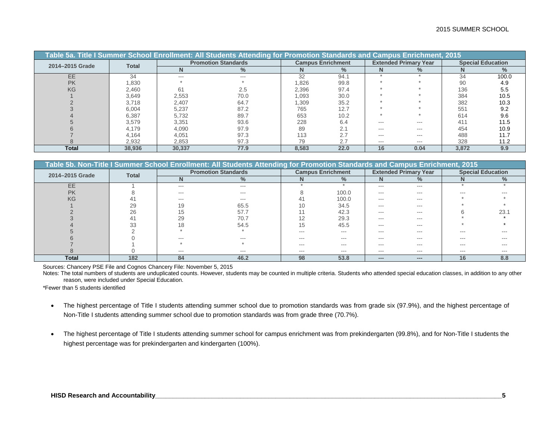|                 |              |        | Table 5a. Title I Summer School Enrollment: All Students Attending for Promotion Standards and Campus Enrichment, 2015 |       |                          |         |                              |       |                          |
|-----------------|--------------|--------|------------------------------------------------------------------------------------------------------------------------|-------|--------------------------|---------|------------------------------|-------|--------------------------|
| 2014-2015 Grade |              |        | <b>Promotion Standards</b>                                                                                             |       | <b>Campus Enrichment</b> |         | <b>Extended Primary Year</b> |       | <b>Special Education</b> |
|                 | <b>Total</b> |        | $\frac{0}{2}$                                                                                                          |       | ℅                        |         | $\%$                         |       | $\%$                     |
| EE              | 34           | $---$  | $- - -$                                                                                                                | 32    | 94.1                     |         |                              | 34    | 100.0                    |
| <b>PK</b>       | 1,830        |        |                                                                                                                        | .826  | 99.8                     |         |                              | 90    | 4.9                      |
| KG              | 2,460        | 61     | 2.5                                                                                                                    | 2,396 | 97.4                     |         |                              | 136   | 5.5                      |
|                 | 3,649        | 2,553  | 70.0                                                                                                                   | 1,093 | 30.0                     |         |                              | 384   | 10.5                     |
|                 | 3.718        | 2.407  | 64.7                                                                                                                   | 1,309 | 35.2                     |         |                              | 382   | 10.3                     |
|                 | 6,004        | 5,237  | 87.2                                                                                                                   | 765   | 12.7                     |         |                              | 551   | 9.2                      |
|                 | 6,387        | 5,732  | 89.7                                                                                                                   | 653   | 10.2                     |         |                              | 614   | 9.6                      |
|                 | 3,579        | 3,351  | 93.6                                                                                                                   | 228   | 6.4                      | $- - -$ | $---$                        | 411   | 11.5                     |
|                 | 4,179        | 4,090  | 97.9                                                                                                                   | 89    |                          | $- - -$ | $---$                        | 454   | 10.9                     |
|                 | 4,164        | 4.051  | 97.3                                                                                                                   | 113   | ۷.۱                      | $- - -$ | ---                          | 488   | 11.7                     |
|                 | 2,932        | 2,853  | 97.3                                                                                                                   | 79    | 2.7                      | $---$   | $---$                        | 328   | 11.2                     |
| <b>Total</b>    | 38.936       | 30,337 | 77.9                                                                                                                   | 8.583 | 22.0                     | 16      | 0.04                         | 3.872 | 9.9                      |

|                 |              |         | Table 5b. Non-Title I Summer School Enrollment: All Students Attending for Promotion Standards and Campus Enrichment, 2015 |         |                          |                        |                              |     |                          |
|-----------------|--------------|---------|----------------------------------------------------------------------------------------------------------------------------|---------|--------------------------|------------------------|------------------------------|-----|--------------------------|
| 2014-2015 Grade | <b>Total</b> |         | <b>Promotion Standards</b>                                                                                                 |         | <b>Campus Enrichment</b> |                        | <b>Extended Primary Year</b> |     | <b>Special Education</b> |
|                 |              | N       | $\frac{1}{2}$                                                                                                              |         |                          |                        | $\frac{0}{2}$                |     | $\frac{1}{2}$            |
| EE              |              | $---$   | $---$                                                                                                                      |         |                          | $- - -$                | $---$                        |     |                          |
| <b>PK</b>       |              | $---$   | $---$                                                                                                                      |         | 100.0                    | $- - -$                | ---                          |     |                          |
| KG              |              | ---     | ---                                                                                                                        | 41      | 100.0                    | ---                    | ---                          |     |                          |
|                 | 29           | 19      | 65.5                                                                                                                       | 10      | 34.5                     | $- - -$                | $- - -$                      |     |                          |
|                 | 26           | 15      | 57.7                                                                                                                       |         | 42.3                     | $- - -$                | ---                          |     | 23.7                     |
|                 |              | 29      | 70.7                                                                                                                       |         | 29.3                     | $- - -$                | ---                          |     |                          |
|                 | $\Omega$     | 18      | 54.5                                                                                                                       |         | 45.5                     | $- - -$                | $- - -$                      |     |                          |
|                 |              |         |                                                                                                                            | $- - -$ | $- - -$                  | $- - -$                | $- - -$                      | --- | $- - -$                  |
|                 |              | $- - -$ |                                                                                                                            | ---     | $- - -$                  | $- - -$                | $- - -$                      | --- | $- - -$                  |
|                 |              |         |                                                                                                                            | ---     | ---                      | ---                    |                              |     |                          |
|                 |              | $---$   | $- - -$                                                                                                                    | $---$   | $- - -$                  | $- - -$                | $- - -$                      | --- | $- - -$                  |
| <b>Total</b>    | 182          | 84      | 46.2                                                                                                                       | 98      | 53.8                     | $\qquad \qquad \cdots$ | $\cdots$                     | 16  | 8.8                      |

Sources: Chancery PSE File and Cognos Chancery File: November 5, 2015

Notes: The total numbers of students are unduplicated counts. However, students may be counted in multiple criteria. Students who attended special education classes, in addition to any other reason, were included under Special Education.

\*Fewer than 5 students identified

- The highest percentage of Title I students attending summer school due to promotion standards was from grade six (97.9%), and the highest percentage of Non-Title I students attending summer school due to promotion standards was from grade three (70.7%).
- The highest percentage of Title I students attending summer school for campus enrichment was from prekindergarten (99.8%), and for Non-Title I students the highest percentage was for prekindergarten and kindergarten (100%).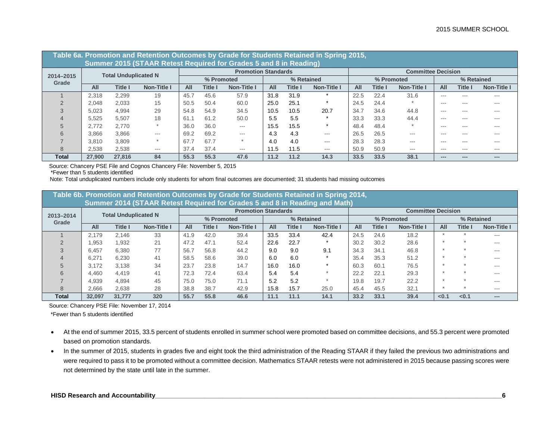|           |        |                             | Table 6a. Promotion and Retention Outcomes by Grade for Students Retained in Spring 2015,<br>Summer 2015 (STAAR Retest Required for Grades 5 and 8 in Reading) |                                                                                    |            |                            |      |            |             |      |            |                           |            |         |               |
|-----------|--------|-----------------------------|----------------------------------------------------------------------------------------------------------------------------------------------------------------|------------------------------------------------------------------------------------|------------|----------------------------|------|------------|-------------|------|------------|---------------------------|------------|---------|---------------|
| 2014-2015 |        | <b>Total Unduplicated N</b> |                                                                                                                                                                |                                                                                    |            | <b>Promotion Standards</b> |      |            |             |      |            | <b>Committee Decision</b> |            |         |               |
| Grade     |        |                             |                                                                                                                                                                |                                                                                    | % Promoted |                            |      | % Retained |             |      | % Promoted |                           | % Retained |         |               |
|           | All    | Title I                     | <b>Non-Title I</b>                                                                                                                                             | All                                                                                | Title I    | Non-Title I                | All  | Title I    | Non-Title I | All  | Title I    | Non-Title I               | All        | Title I | Non-Title I   |
|           | 2.318  | 2,299                       | 19                                                                                                                                                             | 45.7                                                                               | 45.6       | 57.9                       | 31.8 | 31.9       |             | 22.5 | 22.4       | 31.6                      | $- - -$    | ---     | $- - -$       |
|           | 2.048  | 2.033                       | 15                                                                                                                                                             | 50.5                                                                               | 50.4       | 60.0                       | 25.0 | 25.1       |             | 24.5 | 24.4       |                           | $- - -$    |         | $- - -$       |
|           | 5.023  | 4,994                       | 29                                                                                                                                                             | 54.8                                                                               | 54.9       | 34.5                       | 10.5 | 10.5       | 20.7        | 34.7 | 34.6       | 44.8                      | $- - -$    | $- - -$ | $\frac{1}{2}$ |
|           | 5.525  | 5.507                       | 18                                                                                                                                                             | 61                                                                                 | 61.2       | 50.0                       | 5.5  | 5.5        |             | 33.3 | 33.3       | 44.4                      | $- - -$    | $- - -$ | $\frac{1}{2}$ |
|           | 2.772  | 2.770                       |                                                                                                                                                                | 36.0                                                                               | 36.0       | $---$                      | 15.5 | 15.5       |             | 48.4 | 48.4       |                           | $- - -$    | $- - -$ | $- - -$       |
| 6         | 3.866  | 3,866                       | ---                                                                                                                                                            | 69.2                                                                               | 69.2       | ---                        | 4.3  | 4.3        | $---$       | 26.5 | 26.5       | $- - -$                   | $- - -$    | ---     | $---$         |
|           | 3.810  | 3,809                       |                                                                                                                                                                | 67.                                                                                | 67.7       |                            | 4.0  | 4.0        | $---$       | 28.3 | 28.3       | $---$                     | $- - -$    | ---     | $\frac{1}{2}$ |
| 8         | 2,538  | 2,538                       | $---$                                                                                                                                                          | 37.4<br>37.4<br>11.5<br>50.9<br>11.5<br>50.9<br>$---$<br>$---$<br>$---$<br>$- - -$ |            |                            |      |            |             |      |            | ---                       | $---$      |         |               |
| Total     | 27,900 | 27,816                      | 84                                                                                                                                                             | 55.3                                                                               | 55.3       | 47.6                       | 11.2 | 11.2       | 14.3        | 33.5 | 33.5       | 38.1                      | ---        |         | ----          |

Source: Chancery PSE File and Cognos Chancery File: November 5, 2015

\*Fewer than 5 students identified

Note: Total unduplicated numbers include only students for whom final outcomes are documented; 31 students had missing outcomes

|                    |        |                             | Table 6b. Promotion and Retention Outcomes by Grade for Students Retained in Spring 2014, |      |            |                            |      |            |             |      |                |                           |       |            |             |
|--------------------|--------|-----------------------------|-------------------------------------------------------------------------------------------|------|------------|----------------------------|------|------------|-------------|------|----------------|---------------------------|-------|------------|-------------|
|                    |        |                             | Summer 2014 (STAAR Retest Required for Grades 5 and 8 in Reading and Math)                |      |            |                            |      |            |             |      |                |                           |       |            |             |
|                    |        | <b>Total Unduplicated N</b> |                                                                                           |      |            | <b>Promotion Standards</b> |      |            |             |      |                | <b>Committee Decision</b> |       |            |             |
| 2013-2014<br>Grade |        |                             |                                                                                           |      | % Promoted |                            |      | % Retained |             |      | % Promoted     |                           |       | % Retained |             |
|                    | All    | <b>Title I</b>              | <b>Non-Title I</b>                                                                        | AII  | Title I    | <b>Non-Title I</b>         | All  | Title I    | Non-Title I | All  | <b>Title I</b> | <b>Non-Title I</b>        | All   | Title I    | Non-Title I |
|                    | 2.179  | 2.146                       | 33                                                                                        | 41.9 | 42.0       | 39.4                       | 33.5 | 33.4       | 42.4        | 24.5 | 24.6           | 18.2                      |       |            | ---         |
|                    | .953   | 1,932                       | 21                                                                                        | 47.2 | 47.1       | 52.4                       | 22.6 | 22.7       |             | 30.2 | 30.2           | 28.6                      |       |            | ---         |
|                    | 6.457  | 6,380                       | 77                                                                                        | 56.7 | 56.8       | 44.2                       | 9.0  | 9.0        | 9.1         | 34.3 | 34.1           | 46.8                      |       |            | ---         |
|                    | 6.271  | 6,230                       | 41                                                                                        | 58.5 | 58.6       | 39.0                       | 6.0  | 6.0        |             | 35.4 | 35.3           | 51.2                      |       |            | ---         |
| $\overline{5}$     | 3.172  | 3.138                       | 34                                                                                        | 23.7 | 23.8       | 14.7                       | 16.0 | 16.0       | $\star$     | 60.3 | 60.1           | 76.5                      | ÷     |            | ---         |
| 6                  | 4.460  | 4.419                       | 41                                                                                        | 72.3 | 72.4       | 63.4                       | 5.4  | 5.4        |             | 22.2 | 22.1           | 29.3                      |       |            | ---         |
|                    | 4.939  | 4.894                       | 45                                                                                        | 75.0 | 75.0       | 71.1                       | 5.2  | 5.2        |             | 19.8 | 19.7           | 22.2                      |       |            | ---         |
| 8                  | 2,666  | 2,638                       | 28                                                                                        | 38.8 | 38.7       | 42.9                       | 15.8 | 15.7       | 25.0        | 45.4 | 45.5           | 32.1                      |       |            | ---         |
| Total              | 32.097 | 31.777                      | 320                                                                                       | 55.7 | 55.8       | 46.6                       | 11.1 | 11.1       | 14.1        | 33.2 | 33.1           | 39.4                      | < 0.1 | < 0.1      | ---         |

Source: Chancery PSE File: November 17, 2014

\*Fewer than 5 students identified

- At the end of summer 2015, 33.5 percent of students enrolled in summer school were promoted based on committee decisions, and 55.3 percent were promoted based on promotion standards.
- In the summer of 2015, students in grades five and eight took the third administration of the Reading STAAR if they failed the previous two administrations and were required to pass it to be promoted without a committee decision. Mathematics STAAR retests were not administered in 2015 because passing scores were not determined by the state until late in the summer.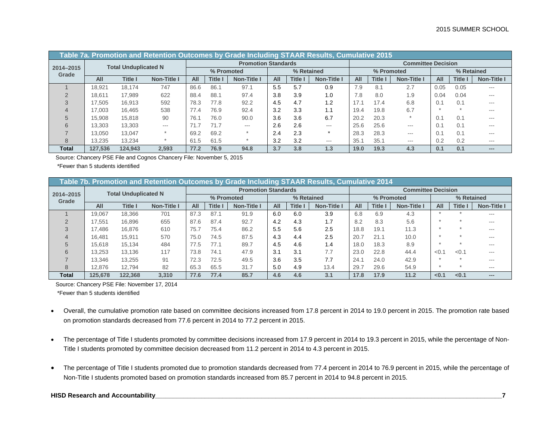|                    | Table 7a. Promotion and Retention Outcomes by Grade Including STAAR Results, Cumulative 2015 |                             |                    |            |                |                            |     |                |                    |            |                |                           |            |       |             |
|--------------------|----------------------------------------------------------------------------------------------|-----------------------------|--------------------|------------|----------------|----------------------------|-----|----------------|--------------------|------------|----------------|---------------------------|------------|-------|-------------|
|                    |                                                                                              | <b>Total Unduplicated N</b> |                    |            |                | <b>Promotion Standards</b> |     |                |                    |            |                | <b>Committee Decision</b> |            |       |             |
| 2014-2015<br>Grade |                                                                                              |                             |                    |            | % Promoted     |                            |     | % Retained     |                    |            | % Promoted     |                           | % Retained |       |             |
|                    | All                                                                                          | Title I                     | <b>Non-Title I</b> | <b>All</b> | <b>Title I</b> | <b>Non-Title I</b>         | All | <b>Title I</b> | <b>Non-Title I</b> | <b>AII</b> | <b>Title I</b> | <b>Non-Title I</b>        | All        | Title | Non-Title I |
|                    | 18.921                                                                                       | 18.174                      | 747                | 86.6       | 86.1           | 97.1                       | 5.5 | 5.7            | 0.9                | 7.9        | 8.1            | 2.7                       | 0.05       | 0.05  | ---         |
|                    | 18.611                                                                                       | 17.989                      | 622                | 88.4       | 88.1           | 97.4                       | 3.8 | 3.9            | 1.0                | 7.8        | 8.0            | 1.9                       | 0.04       | 0.04  | ---         |
|                    | 17.505                                                                                       | 16,913                      | 592                | 78.3       | 77.8           | 92.2                       | 4.5 | 4.7            | 1.2                | 17.1       | 17.4           | 6.8                       | 0.1        | 0.1   | ---         |
|                    | 17.003                                                                                       | 16.465                      | 538                | 77.4       | 76.9           | 92.4                       | 3.2 | 3.3            | 1.1                | 19.4       | 19.8           | 6.7                       |            |       | ---         |
|                    | 15.908                                                                                       | 15.818                      | 90                 | 76.1       | 76.0           | 90.0                       | 3.6 | 3.6            | 6.7                | 20.2       | 20.3           |                           | 0.1        | 0.1   | $- - -$     |
|                    | 13.303                                                                                       | 13.303                      | $---$              |            | 71.7           | ---                        | 2.6 | 2.6            | $---$              | 25.6       | 25.6           | $---$                     | 0.1        | 0.1   | ---         |
|                    | 13.050                                                                                       | 13.047                      |                    | 69.2       | 69.2           |                            | 2.4 | 2.3            |                    | 28.3       | 28.3           | $- - -$                   | 0.1        | 0.1   | $- - -$     |
| 8                  | 13.235                                                                                       | 13.234                      |                    | 61.5       | 61.5           |                            | 3.2 | 3.2            | $---$              | 35.1       | 35.1           | $---$                     | 0.2        | 0.2   | $---$       |
| Total              | 127.536                                                                                      | 124.943                     | 2.593              | 77.2       | 76.9           | 94.8                       | 3.7 | 3.8            | l.3                | 19.0       | 19.3           | 4.3                       | 0.1        | 0.1   | ---         |

Source: Chancery PSE File and Cognos Chancery File: November 5, 2015

\*Fewer than 5 students identified

|                    | Table 7b. Promotion and Retention Outcomes by Grade Including STAAR Results, Cumulative 2014 |                             |                    |      |              |                            |     |            |                    |      |            |                           |            |              |                    |
|--------------------|----------------------------------------------------------------------------------------------|-----------------------------|--------------------|------|--------------|----------------------------|-----|------------|--------------------|------|------------|---------------------------|------------|--------------|--------------------|
|                    |                                                                                              | <b>Total Unduplicated N</b> |                    |      |              | <b>Promotion Standards</b> |     |            |                    |      |            | <b>Committee Decision</b> |            |              |                    |
| 2014-2015<br>Grade |                                                                                              |                             |                    |      | % Promoted   |                            |     | % Retained |                    |      | % Promoted |                           | % Retained |              |                    |
|                    | All                                                                                          | <b>Title I</b>              | <b>Non-Title I</b> | All  | <b>Title</b> | <b>Non-Title I</b>         | All | Title      | <b>Non-Title I</b> | All  | Title l    | <b>Non-Title I</b>        | All        | <b>Title</b> | <b>Non-Title I</b> |
|                    | 19.067                                                                                       | 18,366                      | 701                | 87.3 | 87.1         | 91.9                       | 6.0 | 6.0        | 3.9                | 6.8  | 6.9        | 4.3                       |            |              | ---                |
|                    | 17.551                                                                                       | 16.896                      | 655                | 87.6 | 87.4         | 92.7                       | 4.2 | 4.3        | 1.7                | 8.2  | 8.3        | 5.6                       |            |              | $- - -$            |
|                    | 17.486                                                                                       | 16,876                      | 610                | 75.7 | 75.4         | 86.2                       | 5.5 | 5.6        | 2.5                | 18.8 | 19.1       | 11.3                      |            |              | $- - -$            |
|                    | 16.481                                                                                       | 15.911                      | 570                | 75.0 | 74.5         | 87.5                       | 4.3 | 4.4        | 2.5                | 20.7 | 21.1       | 10.0                      |            |              | $- - -$            |
|                    | 15.618                                                                                       | 15.134                      | 484                | 77.5 | 77.1         | 89.7                       | 4.5 | 4.6        | 1.4                | 18.0 | 18.3       | 8.9                       |            |              | $- - -$            |
| 6                  | 13.253                                                                                       | 13.136                      | 117                | 73.8 | 74.1         | 47.9                       | 3.1 | 3.1        | 7.7                | 23.0 | 22.8       | 44.4                      | < 0.1      | < 0.1        | $- - -$            |
|                    | 13.346                                                                                       | 13.255                      | 91                 | 72.3 | 72.5         | 49.5                       | 3.6 | 3.5        | 7.7                | 24.1 | 24.0       | 42.9                      |            |              | $- - -$            |
| 8                  | 12.876                                                                                       | 12.794                      | 82                 | 65.3 | 65.5         | 31.7                       | 5.0 | 4.9        | 13.4               | 29.7 | 29.6       | 54.9                      |            |              | $---$              |
| Total              | 125.678                                                                                      | 122.368                     | 3.310              | 77.6 | 77.4         | 85.7                       | 4.6 | 4.6        | 3.1                | 17.8 | 17.9       | 11.2                      | < 0.1      | < 0.1        | $---$              |

Source: Chancery PSE File: November 17, 2014

\*Fewer than 5 students identified

- Overall, the cumulative promotion rate based on committee decisions increased from 17.8 percent in 2014 to 19.0 percent in 2015. The promotion rate based on promotion standards decreased from 77.6 percent in 2014 to 77.2 percent in 2015.
- The percentage of Title I students promoted by committee decisions increased from 17.9 percent in 2014 to 19.3 percent in 2015, while the percentage of Non-Title I students promoted by committee decision decreased from 11.2 percent in 2014 to 4.3 percent in 2015.
- The percentage of Title I students promoted due to promotion standards decreased from 77.4 percent in 2014 to 76.9 percent in 2015, while the percentage of Non-Title I students promoted based on promotion standards increased from 85.7 percent in 2014 to 94.8 percent in 2015.

## **HISD Research and Accountability\_\_\_\_\_\_\_\_\_\_\_\_\_\_\_\_\_\_\_\_\_\_\_\_\_\_\_\_\_\_\_\_\_\_\_\_\_\_\_\_\_\_\_\_\_\_\_\_\_\_\_\_\_\_\_\_\_\_\_\_\_\_\_\_\_\_\_\_\_\_\_\_\_\_\_\_\_\_\_\_\_\_\_\_\_\_\_\_\_\_\_\_\_\_\_\_\_\_7**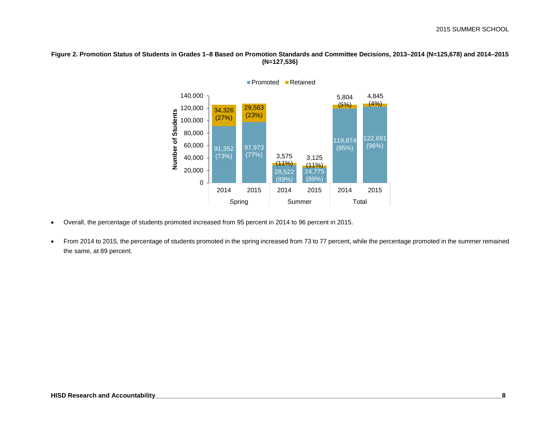### **Figure 2. Promotion Status of Students in Grades 1–8 Based on Promotion Standards and Committee Decisions, 2013–2014 (N=125,678) and 2014–2015 (N=127,536)**



• Overall, the percentage of students promoted increased from 95 percent in 2014 to 96 percent in 2015.

• From 2014 to 2015, the percentage of students promoted in the spring increased from 73 to 77 percent, while the percentage promoted in the summer remained the same, at 89 percent.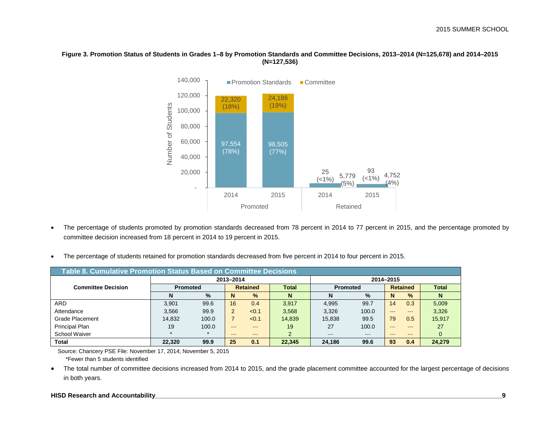#### **Figure 3. Promotion Status of Students in Grades 1–8 by Promotion Standards and Committee Decisions, 2013–2014 (N=125,678) and 2014–2015 (N=127,536)**



- The percentage of students promoted by promotion standards decreased from 78 percent in 2014 to 77 percent in 2015, and the percentage promoted by committee decision increased from 18 percent in 2014 to 19 percent in 2015.
- The percentage of students retained for promotion standards decreased from five percent in 2014 to four percent in 2015.

| Table 8. Cumulative Promotion Status Based on Committee Decisions |                 |         |           |                 |              |                 |         |           |                 |              |  |
|-------------------------------------------------------------------|-----------------|---------|-----------|-----------------|--------------|-----------------|---------|-----------|-----------------|--------------|--|
|                                                                   |                 |         | 2013-2014 |                 |              |                 |         | 2014-2015 |                 |              |  |
| <b>Committee Decision</b>                                         | <b>Promoted</b> |         |           | <b>Retained</b> | <b>Total</b> | <b>Promoted</b> |         |           | <b>Retained</b> | <b>Total</b> |  |
|                                                                   | N               | $\%$    | N         | $\%$            | N            | N               | $\%$    | N         | $\%$            | N            |  |
| ARD.                                                              | 3.901           | 99.6    | 16        | 0.4             | 3.917        | 4,995           | 99.7    | 14        | 0.3             | 5,009        |  |
| Attendance                                                        | 3.566           | 99.9    | 2         | < 0.1           | 3,568        | 3,326           | 100.0   | $---$     | $- - -$         | 3,326        |  |
| <b>Grade Placement</b>                                            | 14.832          | 100.0   |           | < 0.1           | 14,839       | 15,838          | 99.5    | 79        | 0.5             | 15,917       |  |
| Principal Plan                                                    | 19              | 100.0   | $- - -$   | $- - -$         | 19           | 27              | 100.0   | $---$     | ---             | 27           |  |
| <b>School Waiver</b>                                              | $\star$         | $\star$ | $- - -$   | $- - -$         | 2            | $- - -$         | $- - -$ | $- - -$   | $- - -$         | $\Omega$     |  |
| <b>Total</b>                                                      | 22,320          | 99.9    | 25        | 0.1             | 22,345       | 24,186          | 99.6    | 93        | 0.4             | 24,279       |  |

 Source: Chancery PSE File: November 17, 2014; November 5, 2015 \*Fewer than 5 students identified

• The total number of committee decisions increased from 2014 to 2015, and the grade placement committee accounted for the largest percentage of decisions in both years.

#### **HISD Research and Accountability\_\_\_\_\_\_\_\_\_\_\_\_\_\_\_\_\_\_\_\_\_\_\_\_\_\_\_\_\_\_\_\_\_\_\_\_\_\_\_\_\_\_\_\_\_\_\_\_\_\_\_\_\_\_\_\_\_\_\_\_\_\_\_\_\_\_\_\_\_\_\_\_\_\_\_\_\_\_\_\_\_\_\_\_\_\_\_\_\_\_\_\_\_\_\_\_\_\_9**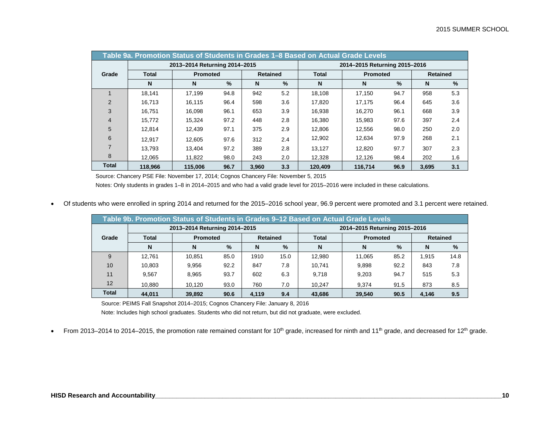|                | Table 9a. Promotion Status of Students in Grades 1-8 Based on Actual Grade Levels |                               |      |                 |      |              |                               |      |                 |     |  |  |
|----------------|-----------------------------------------------------------------------------------|-------------------------------|------|-----------------|------|--------------|-------------------------------|------|-----------------|-----|--|--|
|                |                                                                                   | 2013-2014 Returning 2014-2015 |      |                 |      |              | 2014-2015 Returning 2015-2016 |      |                 |     |  |  |
| Grade          | <b>Total</b>                                                                      | <b>Promoted</b>               |      | <b>Retained</b> |      | <b>Total</b> | <b>Promoted</b>               |      | <b>Retained</b> |     |  |  |
|                | N                                                                                 | N                             | $\%$ | N               | $\%$ | N            | N                             | %    | N               | %   |  |  |
|                | 18.141                                                                            | 17.199                        | 94.8 | 942             | 5.2  | 18,108       | 17,150                        | 94.7 | 958             | 5.3 |  |  |
| $\overline{2}$ | 16.713                                                                            | 16.115                        | 96.4 | 598             | 3.6  | 17.820       | 17.175                        | 96.4 | 645             | 3.6 |  |  |
| 3              | 16.751                                                                            | 16.098                        | 96.1 | 653             | 3.9  | 16,938       | 16,270                        | 96.1 | 668             | 3.9 |  |  |
| $\overline{4}$ | 15.772                                                                            | 15,324                        | 97.2 | 448             | 2.8  | 16,380       | 15,983                        | 97.6 | 397             | 2.4 |  |  |
| 5              | 12.814                                                                            | 12.439                        | 97.1 | 375             | 2.9  | 12,806       | 12,556                        | 98.0 | 250             | 2.0 |  |  |
| 6              | 12.917                                                                            | 12.605                        | 97.6 | 312             | 2.4  | 12.902       | 12.634                        | 97.9 | 268             | 2.1 |  |  |
|                | 13.793                                                                            | 13.404                        | 97.2 | 389             | 2.8  | 13,127       | 12.820                        | 97.7 | 307             | 2.3 |  |  |
| 8              | 12.065                                                                            | 11,822                        | 98.0 | 243             | 2.0  | 12,328       | 12,126                        | 98.4 | 202             | 1.6 |  |  |
| <b>Total</b>   | 118.966                                                                           | 115.006                       | 96.7 | 3.960           | 3.3  | 120,409      | 116.714                       | 96.9 | 3.695           | 3.1 |  |  |

Source: Chancery PSE File: November 17, 2014; Cognos Chancery File: November 5, 2015

Notes: Only students in grades 1–8 in 2014–2015 and who had a valid grade level for 2015–2016 were included in these calculations.

• Of students who were enrolled in spring 2014 and returned for the 2015–2016 school year, 96.9 percent were promoted and 3.1 percent were retained.

| Table 9b. Promotion Status of Students in Grades 9-12 Based on Actual Grade Levels |                                                                |                 |                 |       |      |              |                 |      |                 |      |  |
|------------------------------------------------------------------------------------|----------------------------------------------------------------|-----------------|-----------------|-------|------|--------------|-----------------|------|-----------------|------|--|
|                                                                                    | 2013-2014 Returning 2014-2015<br>2014-2015 Returning 2015-2016 |                 |                 |       |      |              |                 |      |                 |      |  |
| Grade                                                                              | <b>Total</b>                                                   | <b>Promoted</b> | <b>Retained</b> |       |      | <b>Total</b> | <b>Promoted</b> |      | <b>Retained</b> |      |  |
|                                                                                    | N                                                              | N               | $\frac{0}{2}$   | N     | $\%$ | N            | N               | $\%$ | N               | $\%$ |  |
| 9                                                                                  | 12.761                                                         | 10.851          | 85.0            | 1910  | 15.0 | 12.980       | 11,065          | 85.2 | 1.915           | 14.8 |  |
| 10                                                                                 | 10,803                                                         | 9.956           | 92.2            | 847   | 7.8  | 10.741       | 9.898           | 92.2 | 843             | 7.8  |  |
| 11                                                                                 | 9.567                                                          | 8.965           | 93.7            | 602   | 6.3  | 9.718        | 9.203           | 94.7 | 515             | 5.3  |  |
| 12                                                                                 | 10.880                                                         | 10.120          | 93.0            | 760   | 7.0  | 10.247       | 9.374           | 91.5 | 873             | 8.5  |  |
| <b>Total</b>                                                                       | 44.011                                                         | 39,892          | 90.6            | 4.119 | 9.4  | 43.686       | 39.540          | 90.5 | 4.146           | 9.5  |  |

Source: PEIMS Fall Snapshot 2014–2015; Cognos Chancery File: January 8, 2016

Note: Includes high school graduates. Students who did not return, but did not graduate, were excluded.

• From 2013–2014 to 2014–2015, the promotion rate remained constant for 10<sup>th</sup> grade, increased for ninth and 11<sup>th</sup> grade, and decreased for 12<sup>th</sup> grade.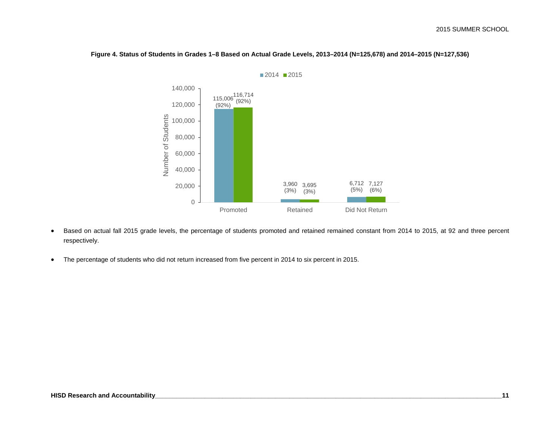

**Figure 4. Status of Students in Grades 1–8 Based on Actual Grade Levels, 2013–2014 (N=125,678) and 2014–2015 (N=127,536)**

- Based on actual fall 2015 grade levels, the percentage of students promoted and retained remained constant from 2014 to 2015, at 92 and three percent respectively.
- The percentage of students who did not return increased from five percent in 2014 to six percent in 2015.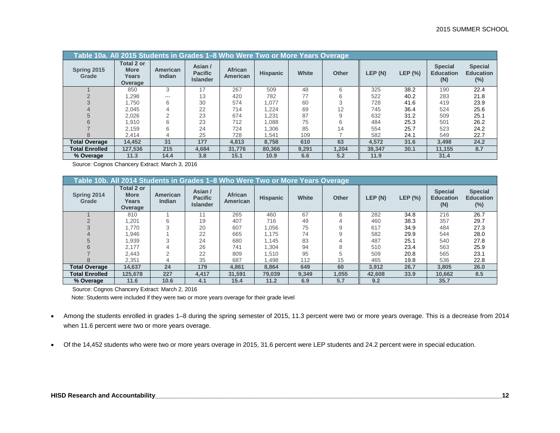| Table 10a. All 2015 Students in Grades 1-8 Who Were Two or More Years Overage |                                               |                                  |                                              |                            |                 |       |              |        |           |                                           |                                           |
|-------------------------------------------------------------------------------|-----------------------------------------------|----------------------------------|----------------------------------------------|----------------------------|-----------------|-------|--------------|--------|-----------|-------------------------------------------|-------------------------------------------|
| Spring 2015<br>Grade                                                          | Total 2 or<br><b>More</b><br>Years<br>Overage | <b>American</b><br><b>Indian</b> | Asian /<br><b>Pacific</b><br><b>Islander</b> | African<br><b>American</b> | <b>Hispanic</b> | White | <b>Other</b> | LEP(N) | LEP $(%)$ | <b>Special</b><br><b>Education</b><br>(N) | <b>Special</b><br><b>Education</b><br>(%) |
|                                                                               | 850                                           | 3                                | 17                                           | 267                        | 509             | 48    | 6            | 325    | 38.2      | 190                                       | 22.4                                      |
|                                                                               | .298                                          | ---                              | 13                                           | 420                        | 782             | 77    | 6            | 522    | 40.2      | 283                                       | 21.8                                      |
|                                                                               | .750                                          | 6                                | 30                                           | 574                        | 1.077           | 60    |              | 728    | 41.6      | 419                                       | 23.9                                      |
|                                                                               | 2.045                                         |                                  | 22                                           | 714                        | 1.224           | 69    | 12           | 745    | 36.4      | 524                                       | 25.6                                      |
|                                                                               | 2.026                                         |                                  | 23                                           | 674                        | 1,231           | 87    |              | 632    | 31.2      | 509                                       | 25.1                                      |
|                                                                               | .910                                          | 6                                | 23                                           | 712                        | 880,            | 75    | 6            | 484    | 25.3      | 501                                       | 26.2                                      |
|                                                                               | 2.159                                         | 6                                | 24                                           | 724                        | 1,306           | 85    | 14           | 554    | 25.7      | 523                                       | 24.2                                      |
|                                                                               | 2,414                                         | 4                                | 25                                           | 728                        | 1,541           | 109   |              | 582    | 24.1      | 549                                       | 22.7                                      |
| <b>Total Overage</b>                                                          | 14.452                                        | 31                               | 177                                          | 4.813                      | 8.758           | 610   | 63           | 4.572  | 31.6      | 3.498                                     | 24.2                                      |
| <b>Total Enrolled</b>                                                         | 127.536                                       | 215                              | 4.684                                        | 31.776                     | 80.366          | 9,291 | 1,204        | 38.347 | 30.1      | 11,155                                    | 8.7                                       |
| % Overage                                                                     | 11.3                                          | 14.4                             | 3.8                                          | 15.1                       | 10.9            | 6.6   | 5.2          | 11.9   |           | 31.4                                      |                                           |

Source: Cognos Chancery Extract: March 3, 2016

|                       | Table 10b. All 2014 Students in Grades 1–8 Who Were Two or More Years Overage |                                  |                                              |                            |                 |       |              |        |           |                                           |                                              |  |
|-----------------------|-------------------------------------------------------------------------------|----------------------------------|----------------------------------------------|----------------------------|-----------------|-------|--------------|--------|-----------|-------------------------------------------|----------------------------------------------|--|
| Spring 2014<br>Grade  | <b>Total 2 or</b><br><b>More</b><br>Years<br>Overage                          | <b>American</b><br><b>Indian</b> | Asian /<br><b>Pacific</b><br><b>Islander</b> | <b>African</b><br>American | <b>Hispanic</b> | White | <b>Other</b> | LEP(N) | LEP $(%)$ | <b>Special</b><br><b>Education</b><br>(N) | <b>Special</b><br><b>Education</b><br>$(\%)$ |  |
|                       | 810                                                                           |                                  |                                              | 265                        | 460             | 67    | 6            | 282    | 34.8      | 216                                       | 26.7                                         |  |
|                       | .201                                                                          | 6                                | 19                                           | 407                        | 716             | 49    |              | 460    | 38.3      | 357                                       | 29.7                                         |  |
|                       | 1.770                                                                         |                                  | 20                                           | 607                        | 1.056           | 75    |              | 617    | 34.9      | 484                                       | 27.3                                         |  |
|                       | .946                                                                          |                                  | 22                                           | 665                        | 1.175           | 74    |              | 582    | 29.9      | 544                                       | 28.0                                         |  |
|                       | 1.939                                                                         |                                  | 24                                           | 680                        | 1.145           | 83    |              | 487    | 25.1      | 540                                       | 27.8                                         |  |
|                       | 2.177                                                                         |                                  | 26                                           | 741                        | 1,304           | 94    |              | 510    | 23.4      | 563                                       | 25.9                                         |  |
|                       | 2.443                                                                         |                                  | 22                                           | 809                        | 1,510           | 95    |              | 509    | 20.8      | 565                                       | 23.1                                         |  |
| 8                     | 2,351                                                                         | 4                                | 35                                           | 687                        | 1.498           | 112   | 15           | 465    | 19.8      | 536                                       | 22.8                                         |  |
| <b>Total Overage</b>  | 14,637                                                                        | 24                               | 179                                          | 4,861                      | 8,864           | 649   | 60           | 3,912  | 26.7      | 3,805                                     | 26.0                                         |  |
| <b>Total Enrolled</b> | 125,678                                                                       | 227                              | 4,417                                        | 31,591                     | 79,039          | 9,349 | 1,055        | 42,608 | 33.9      | 10,662                                    | 8.5                                          |  |
| % Overage             | 11.6                                                                          | 10.6                             | 4.1                                          | 15.4                       | 11.2            | 6.9   | 5.7          | 9.2    |           | 35.7                                      |                                              |  |

Source: Cognos Chancery Extract: March 2, 2016

Note: Students were included if they were two or more years overage for their grade level

- Among the students enrolled in grades 1–8 during the spring semester of 2015, 11.3 percent were two or more years overage. This is a decrease from 2014 when 11.6 percent were two or more years overage.
- Of the 14,452 students who were two or more years overage in 2015, 31.6 percent were LEP students and 24.2 percent were in special education.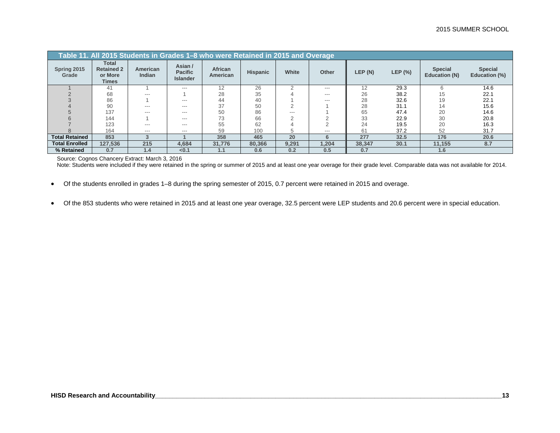|                       | Table 11. All 2015 Students in Grades 1–8 who were Retained in 2015 and Overage |                    |                                              |                     |                 |       |       |        |         |                                 |                                 |  |
|-----------------------|---------------------------------------------------------------------------------|--------------------|----------------------------------------------|---------------------|-----------------|-------|-------|--------|---------|---------------------------------|---------------------------------|--|
| Spring 2015<br>Grade  | Total<br><b>Retained 2</b><br>or More<br><b>Times</b>                           | American<br>Indian | Asian /<br><b>Pacific</b><br><b>Islander</b> | African<br>American | <b>Hispanic</b> | White | Other | LEP(N) | LEP (%) | <b>Special</b><br>Education (N) | <b>Special</b><br>Education (%) |  |
|                       | 41                                                                              |                    | $---$                                        | 12                  | 26              |       | $---$ | 12     | 29.3    |                                 | 14.6                            |  |
|                       | 68                                                                              | $---$              |                                              | 28                  | 35              |       | $---$ | 26     | 38.2    | 15                              | 22.1                            |  |
|                       | 86                                                                              |                    | $---$                                        | 44                  | 40              |       | $---$ | 28     | 32.6    | 19                              | 22.1                            |  |
|                       | 90                                                                              | $---$              | $---$                                        | 37                  | 50              |       |       | 28     | 31.1    | 14                              | 15.6                            |  |
|                       | 137                                                                             | $---$              | ---                                          | 50                  | 86              | $---$ |       | 65     | 47.4    | 20                              | 14.6                            |  |
|                       | 144                                                                             |                    | $---$                                        | 73                  | 66              |       |       | 33     | 22.9    | 30                              | 20.8                            |  |
|                       | 123                                                                             | ---                | $---$                                        | 55                  | 62              |       |       | 24     | 19.5    | 20                              | 16.3                            |  |
|                       | 164                                                                             | $-- -$             | $-- -$                                       | 59                  | 100             |       | $---$ | 61     | 37.2    | 52                              | 31.7                            |  |
| <b>Total Retained</b> | 853                                                                             |                    |                                              | 358                 | 465             | 20    | 6     | 277    | 32.5    | 176                             | 20.6                            |  |
| <b>Total Enrolled</b> | 127,536                                                                         | 215                | 4,684                                        | 31,776              | 80,366          | 9,291 | 1,204 | 38,347 | 30.1    | 11,155                          | 8.7                             |  |
| % Retained            | 0.7                                                                             | 1.4                | < 0.1                                        | 1.1                 | 0.6             | 0.2   | 0.5   | 0.7    |         | 1.6                             |                                 |  |

Source: Cognos Chancery Extract: March 3, 2016

Note: Students were included if they were retained in the spring or summer of 2015 and at least one year overage for their grade level. Comparable data was not available for 2014.

• Of the students enrolled in grades 1–8 during the spring semester of 2015, 0.7 percent were retained in 2015 and overage.

• Of the 853 students who were retained in 2015 and at least one year overage, 32.5 percent were LEP students and 20.6 percent were in special education.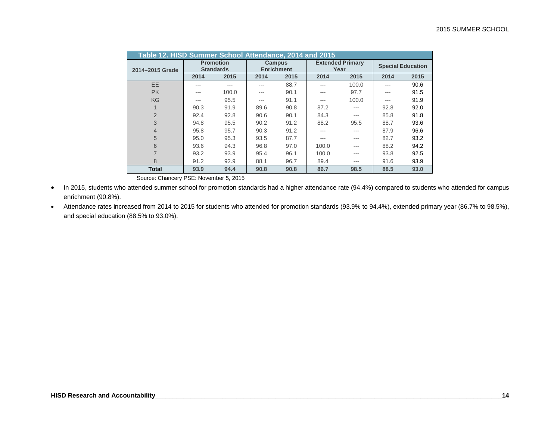|                 | Table 12. HISD Summer School Attendance, 2014 and 2015<br><b>Extended Primary</b> |                                      |      |                                    |       |         |      |                          |  |  |  |
|-----------------|-----------------------------------------------------------------------------------|--------------------------------------|------|------------------------------------|-------|---------|------|--------------------------|--|--|--|
| 2014-2015 Grade |                                                                                   | <b>Promotion</b><br><b>Standards</b> |      | <b>Campus</b><br><b>Enrichment</b> |       | Year    |      | <b>Special Education</b> |  |  |  |
|                 | 2014                                                                              | 2015                                 | 2014 | 2015                               | 2014  | 2015    | 2014 | 2015                     |  |  |  |
| <b>EE</b>       | ---                                                                               |                                      |      | 88.7                               |       | 100.0   | ---  | 90.6                     |  |  |  |
| <b>PK</b>       | ---                                                                               | 100.0                                | ---  | 90.1                               | ---   | 97.7    | ---  | 91.5                     |  |  |  |
| KG              | $- - -$                                                                           | 95.5                                 | ---  | 91.1                               | ---   | 100.0   | ---  | 91.9                     |  |  |  |
| 1               | 90.3                                                                              | 91.9                                 | 89.6 | 90.8                               | 87.2  | ---     | 92.8 | 92.0                     |  |  |  |
| 2               | 92.4                                                                              | 92.8                                 | 90.6 | 90.1                               | 84.3  | $- - -$ | 85.8 | 91.8                     |  |  |  |
| 3               | 94.8                                                                              | 95.5                                 | 90.2 | 91.2                               | 88.2  | 95.5    | 88.7 | 93.6                     |  |  |  |
| $\overline{4}$  | 95.8                                                                              | 95.7                                 | 90.3 | 91.2                               |       | ---     | 87.9 | 96.6                     |  |  |  |
| 5               | 95.0                                                                              | 95.3                                 | 93.5 | 87.7                               | ---   | ---     | 82.7 | 93.2                     |  |  |  |
| 6               | 93.6                                                                              | 94.3                                 | 96.8 | 97.0                               | 100.0 | $- - -$ | 88.2 | 94.2                     |  |  |  |
| $\overline{7}$  | 93.2                                                                              | 93.9                                 | 95.4 | 96.1                               | 100.0 | ---     | 93.8 | 92.5                     |  |  |  |
| 8               | 91.2                                                                              | 92.9                                 | 88.1 | 96.7                               | 89.4  | $- - -$ | 91.6 | 93.9                     |  |  |  |
| <b>Total</b>    | 93.9                                                                              | 94.4                                 | 90.8 | 90.8                               | 86.7  | 98.5    | 88.5 | 93.0                     |  |  |  |

Source: Chancery PSE: November 5, 2015

• In 2015, students who attended summer school for promotion standards had a higher attendance rate (94.4%) compared to students who attended for campus enrichment (90.8%).

• Attendance rates increased from 2014 to 2015 for students who attended for promotion standards (93.9% to 94.4%), extended primary year (86.7% to 98.5%), and special education (88.5% to 93.0%).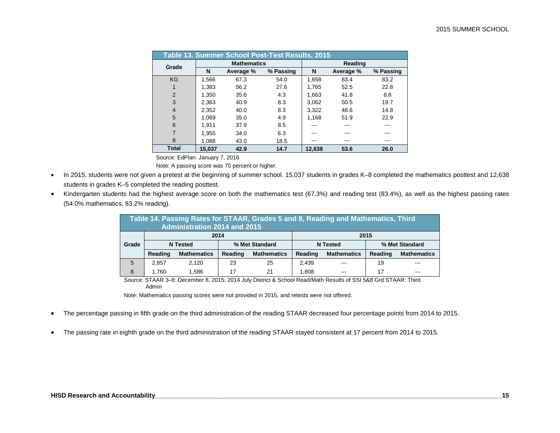|                |        | Table 13. Summer School Post-Test Results, 2015 |           |        |           |           |
|----------------|--------|-------------------------------------------------|-----------|--------|-----------|-----------|
| Grade          |        | <b>Mathematics</b>                              |           |        | Reading   |           |
|                | N      | Average %                                       | % Passing | N      | Average % | % Passing |
| <b>KG</b>      | 1.566  | 67.3                                            | 54.0      | 1,658  | 83.4      | 83.2      |
| 1              | 1.383  | 56.2                                            | 27.6      | 1.765  | 52.5      | 22.8      |
| 2              | 1.350  | 35.6                                            | 4.3       | 1.663  | 41.8      | 8.8       |
| 3              | 2.363  | 40.9                                            | 8.3       | 3.062  | 50.5      | 19.7      |
| $\overline{4}$ | 2,352  | 40.0                                            | 8.3       | 3.322  | 48.6      | 14.8      |
| 5              | 1.069  | 35.0                                            | 4.9       | 1.168  | 51.9      | 22.9      |
| 6              | 1.911  | 37.9                                            | 8.5       |        |           | ---       |
| $\overline{7}$ | 1.955  | 34.0                                            | 6.3       |        |           | ---       |
| 8              | 1.088  | 43.0                                            | 18.5      | ---    | ---       | ---       |
| Total          | 15.037 | 42.9                                            | 14.7      | 12.638 | 53.6      | 26.0      |

Source: EdPlan: January 7, 2016

Note: A passing score was 70 percent or higher.

- In 2015, students were not given a pretest at the beginning of summer school. 15,037 students in grades K–8 completed the mathematics posttest and 12,638 students in grades K–5 completed the reading posttest.
- Kindergarten students had the highest average score on both the mathematics test (67.3%) and reading test (83.4%), as well as the highest passing rates (54.0% mathematics, 83.2% reading).

|       | Table 14. Passing Rates for STAAR, Grades 5 and 8, Reading and Mathematics, Third<br><b>Administration 2014 and 2015</b> |                    |         |                    |         |                    |         |                    |  |  |  |
|-------|--------------------------------------------------------------------------------------------------------------------------|--------------------|---------|--------------------|---------|--------------------|---------|--------------------|--|--|--|
|       | 2015<br>2014                                                                                                             |                    |         |                    |         |                    |         |                    |  |  |  |
| Grade | % Met Standard<br><b>N</b> Tested<br>% Met Standard<br><b>N</b> Tested                                                   |                    |         |                    |         |                    |         |                    |  |  |  |
|       | Reading                                                                                                                  | <b>Mathematics</b> | Reading | <b>Mathematics</b> | Reading | <b>Mathematics</b> | Reading | <b>Mathematics</b> |  |  |  |
| 5     | 2,857                                                                                                                    | 2.120              | 23      | 25                 | 2.439   | $- - -$            | 19      | ---                |  |  |  |
| 8     | 17<br>1.760<br>17<br>1.808<br>.586<br>21<br>---<br>---                                                                   |                    |         |                    |         |                    |         |                    |  |  |  |

Source: STAAR 3–8: December 8, 2015; 2014 July District & School Read/Math Results of SSI 5&8 Grd STAAR: Third Admin

Note: Mathematics passing scores were not provided in 2015, and retests were not offered.

- The percentage passing in fifth grade on the third administration of the reading STAAR decreased four percentage points from 2014 to 2015.
- The passing rate in eighth grade on the third administration of the reading STAAR stayed consistent at 17 percent from 2014 to 2015.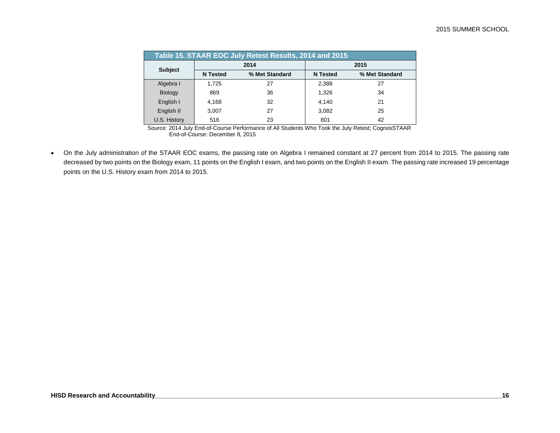| Table 15. STAAR EOC July Retest Results, 2014 and 2015 |                 |                |                 |                |  |  |  |  |  |  |
|--------------------------------------------------------|-----------------|----------------|-----------------|----------------|--|--|--|--|--|--|
| <b>Subject</b>                                         |                 | 2014           |                 | 2015           |  |  |  |  |  |  |
|                                                        | <b>N</b> Tested | % Met Standard | <b>N</b> Tested | % Met Standard |  |  |  |  |  |  |
| Algebra I                                              | 1,725           | 27             | 2,388           | 27             |  |  |  |  |  |  |
| <b>Biology</b>                                         | 869             | 36             | 1,326           | 34             |  |  |  |  |  |  |
| English I                                              | 4,168           | 32             | 4,140           | 21             |  |  |  |  |  |  |
| English II                                             | 3,007           | 27             | 3,082           | 25             |  |  |  |  |  |  |
| U.S. History                                           | 516             | 23             | 801             | 42             |  |  |  |  |  |  |

Source: 2014 July End-of-Course Performance of All Students Who Took the July Retest; CognosSTAAR End-of-Course: December 8, 2015

• On the July administration of the STAAR EOC exams, the passing rate on Algebra I remained constant at 27 percent from 2014 to 2015. The passing rate decreased by two points on the Biology exam, 11 points on the English I exam, and two points on the English II exam. The passing rate increased 19 percentage points on the U.S. History exam from 2014 to 2015.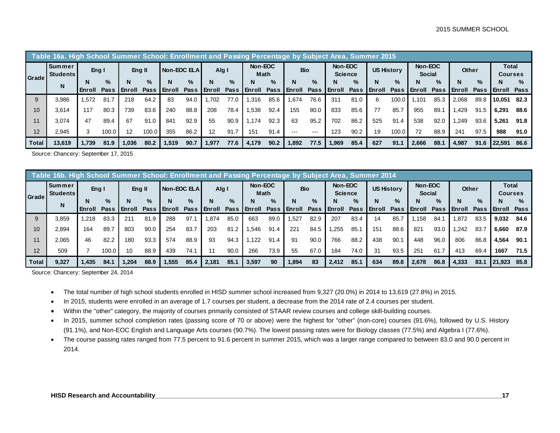|       | Table 16a. High School Summer School: Enrollment and Passing Percentage by Subject Area, Summer 2015 |         |       |        |             |                     |      |          |             |                 |      |            |         |                           |             |            |       |                          |      |               |      |                                |      |
|-------|------------------------------------------------------------------------------------------------------|---------|-------|--------|-------------|---------------------|------|----------|-------------|-----------------|------|------------|---------|---------------------------|-------------|------------|-------|--------------------------|------|---------------|------|--------------------------------|------|
| Grade | Summer<br><b>Students</b>                                                                            | Eng $I$ |       | Eng II |             | <b>Non-EOC ELAI</b> |      | Alg I    |             | Non-EOC<br>Math |      | <b>Bio</b> |         | Non-EOC<br><b>Science</b> |             | US History |       | Non-EOC<br><b>Social</b> |      | Other         |      | <b>Total</b><br><b>Courses</b> |      |
|       | N                                                                                                    |         | %     |        | $\%$        |                     | $\%$ | N        | $\%$        | N               | $\%$ | N          | %       | N                         | $\%$        | N          | $\%$  | N                        | $\%$ | N             | $\%$ |                                | $\%$ |
|       |                                                                                                      | Enroll  | Pass  | Enroll | <b>Pass</b> | l Enroll            | Pass | l Enroll | <b>Pass</b> | <b>Enroll</b>   | Pass | Enroll     | Pass    | l Enroll                  | <b>Pass</b> | Enroll     | Pass  | <b>Enroll</b>            | Pass | <b>Enroll</b> | Pass | Enroll                         | Pass |
| 9     | 3.986                                                                                                | .572    | 81.7  | 218    | 64.2        | 83                  | 94.0 | .702     | 77.0        | .316            | 85.6 | .674       | 76.6    | 311                       | 81.0        | 6          | 100.0 | 1.101                    | 85.3 | 2.068         | 89.8 | 10.051                         | 82.3 |
| 10    | 3.614                                                                                                | 117     | 80.3  | 739    | 83.6        | 240                 | 88.8 | 208      | 78.4        | 1.538           | 92.4 | 155        | 80.0    | 833                       | 85.6        | 77         | 85.7  | 955                      | 89.7 | .429          | 91.5 | 6.291                          | 88.6 |
| 11    | 3.074                                                                                                | 47      | 89.4  | 67     | 91.0        | 841                 | 92.9 | 55       | 90.9        | 1.174           | 92.3 | 63         | 95.2    | 702                       | 86.2        | 525        | 91.4  | 538                      | 92.0 | .249          | 93.6 | 5.261                          | 91.8 |
| 12    | 2.945                                                                                                |         | 100.0 | 12     | 100.0       | 355                 | 86.2 | 12       | 91.7        | 151             | 91.4 | $- - -$    | $- - -$ | 123                       | 90.2        | 19         | 100.0 | 72                       | 88.9 | 241           | 97.5 | 988                            | 91.0 |
| Total | 13,619                                                                                               | .739    | 81.9  | .036   | 80.2        | 1.519               | 90.7 | 1.977    | 77.6        | 4.179           | 90.2 | 1.892      | 77.5    | 1.969                     | 85.4        | 627        | 91.1  | 2.666                    | 88.1 | 4,987         | 91.6 | 22.591                         | 86.6 |

Source: Chancery: September 17, 2015

|              | <u>Table 16b. High School Summer School: Enrollment and Passing Percentage by Subject Area, Summer 2014</u> |                 |       |               |             |                |      |          |             |                 |      |            |      |                           |      |                   |      |                          |      |               |             |                         |      |      |
|--------------|-------------------------------------------------------------------------------------------------------------|-----------------|-------|---------------|-------------|----------------|------|----------|-------------|-----------------|------|------------|------|---------------------------|------|-------------------|------|--------------------------|------|---------------|-------------|-------------------------|------|------|
| Grade        | <b>Summer</b><br><b>Students</b>                                                                            | Eng $\mathsf I$ |       | Eng II        |             | I Non-EOC ELAI |      | Alg I    |             | Non-EOC<br>Math |      | <b>Bio</b> |      | Non-EOC<br><b>Science</b> |      | <b>US History</b> |      | Non-EOC<br><b>Social</b> |      | Other         |             | Total<br><b>Courses</b> |      |      |
|              | N                                                                                                           |                 |       | %             | N           | $\%$           | N    | $\%$     | N           | $\%$            |      | $\%$       | N    | $\frac{9}{6}$             | N    | $\%$              | N    | $\%$                     | N    | $\%$          | N           | $\%$                    | N    | $\%$ |
|              |                                                                                                             | <b>Enroll</b>   | Pass  | <b>Enroll</b> | <b>Pass</b> | Enroll         | Pass | l Enroll | <b>Pass</b> | l Enroll        | Pass | Enroll     | Pass | Enroll                    | Pass | Enroll            | Pass | Enroll                   | Pass | <b>Enroll</b> | <b>Pass</b> | Enroll                  | Pass |      |
| 9            | 3.859                                                                                                       | .218            | 83.3  | 211           | 81.9        | 288            | 97.  | 1.874    | 85.0        | 663             | 89.0 | .527       | 82.9 | 207                       | 83.4 | 14                | 85.7 | .158                     | 84.1 | .872          | 83.5        | 9.032                   | 84.6 |      |
| 10           | 2.894                                                                                                       | 164             | 89.7  | 803           | 90.0        | 254            | 83.7 | 203      | 81.2        | .546            | 91.4 | 221        | 84.5 | .255                      | 85.1 | 151               | 88.6 | 821                      | 93.0 | ,242          | 83.7        | 6,660                   | 87.9 |      |
|              | 2.065                                                                                                       | 46              | 82.2  | 180           | 93.3        | 574            | 88.9 | 93       | 94.3        | .122            | 91.4 | 91         | 90.0 | 766                       | 88.2 | 438               | 90.1 | 448                      | 96.0 | 806           | 86.8        | 4,564                   | 90.1 |      |
| 12           | 509                                                                                                         |                 | 100.0 | 10            | 88.9        | 439            | 74.1 |          | 90.0        | 266             | 73.9 | 55         | 67.0 | 184                       | 74.0 | 31                | 93.5 | 251                      | 61.7 | 413           | 69.4        | 1667                    | 71.5 |      |
| <b>Total</b> | 9,327                                                                                                       | .435            | 84.1  | .204          | 88.9        | .555           | 85.4 | 2.181    | 85.         | 3,597           | 90   | 1,894      | 83   | 2.412                     | 85.1 | 634               | 89.8 | 2.678                    | 86.8 | 4,333         | 83.1        | 21.923                  | 85.8 |      |

Source: Chancery: September 24, 2014

- The total number of high school students enrolled in HISD summer school increased from 9,327 (20.0%) in 2014 to 13,619 (27.8%) in 2015.
- In 2015, students were enrolled in an average of 1.7 courses per student, a decrease from the 2014 rate of 2.4 courses per student.
- Within the "other" category, the majority of courses primarily consisted of STAAR review courses and college skill-building courses.
- In 2015, summer school completion rates (passing score of 70 or above) were the highest for "other" (non-core) courses (91.6%), followed by U.S. History (91.1%), and Non-EOC English and Language Arts courses (90.7%). The lowest passing rates were for Biology classes (77.5%) and Algebra I (77.6%).
- The course passing rates ranged from 77.5 percent to 91.6 percent in summer 2015, which was a larger range compared to between 83.0 and 90.0 percent in 2014.